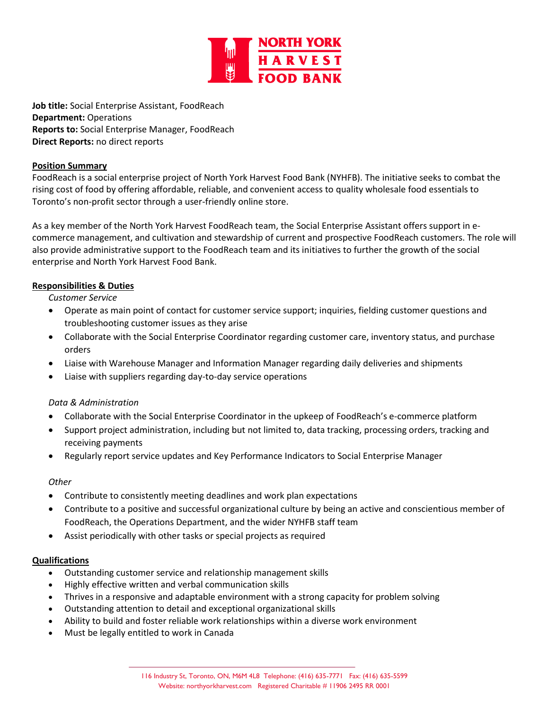

**Job title:** Social Enterprise Assistant, FoodReach **Department:** Operations **Reports to:** Social Enterprise Manager, FoodReach **Direct Reports:** no direct reports

### **Position Summary**

FoodReach is a social enterprise project of North York Harvest Food Bank (NYHFB). The initiative seeks to combat the rising cost of food by offering affordable, reliable, and convenient access to quality wholesale food essentials to Toronto's non-profit sector through a user-friendly online store.

As a key member of the North York Harvest FoodReach team, the Social Enterprise Assistant offers support in ecommerce management, and cultivation and stewardship of current and prospective FoodReach customers. The role will also provide administrative support to the FoodReach team and its initiatives to further the growth of the social enterprise and North York Harvest Food Bank.

# **Responsibilities & Duties**

*Customer Service*

- Operate as main point of contact for customer service support; inquiries, fielding customer questions and troubleshooting customer issues as they arise
- Collaborate with the Social Enterprise Coordinator regarding customer care, inventory status, and purchase orders
- Liaise with Warehouse Manager and Information Manager regarding daily deliveries and shipments
- Liaise with suppliers regarding day-to-day service operations

# *Data & Administration*

- Collaborate with the Social Enterprise Coordinator in the upkeep of FoodReach's e-commerce platform
- Support project administration, including but not limited to, data tracking, processing orders, tracking and receiving payments
- Regularly report service updates and Key Performance Indicators to Social Enterprise Manager

### *Other*

- Contribute to consistently meeting deadlines and work plan expectations
- Contribute to a positive and successful organizational culture by being an active and conscientious member of FoodReach, the Operations Department, and the wider NYHFB staff team
- Assist periodically with other tasks or special projects as required

### **Qualifications**

- Outstanding customer service and relationship management skills
- Highly effective written and verbal communication skills
- Thrives in a responsive and adaptable environment with a strong capacity for problem solving
- Outstanding attention to detail and exceptional organizational skills
- Ability to build and foster reliable work relationships within a diverse work environment
- Must be legally entitled to work in Canada